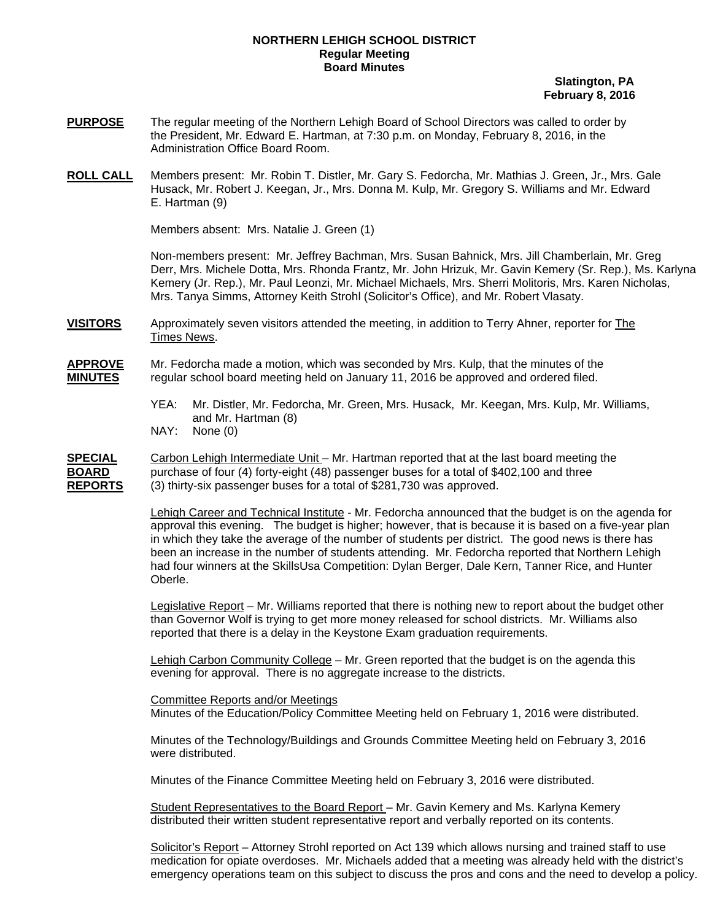## **NORTHERN LEHIGH SCHOOL DISTRICT Regular Meeting Board Minutes**

 **Slatington, PA February 8, 2016** 

- **PURPOSE** The regular meeting of the Northern Lehigh Board of School Directors was called to order by the President, Mr. Edward E. Hartman, at 7:30 p.m. on Monday, February 8, 2016, in the Administration Office Board Room.
- **ROLL CALL** Members present: Mr. Robin T. Distler, Mr. Gary S. Fedorcha, Mr. Mathias J. Green, Jr., Mrs. Gale Husack, Mr. Robert J. Keegan, Jr., Mrs. Donna M. Kulp, Mr. Gregory S. Williams and Mr. Edward E. Hartman (9)

Members absent: Mrs. Natalie J. Green (1)

Non-members present: Mr. Jeffrey Bachman, Mrs. Susan Bahnick, Mrs. Jill Chamberlain, Mr. Greg Derr, Mrs. Michele Dotta, Mrs. Rhonda Frantz, Mr. John Hrizuk, Mr. Gavin Kemery (Sr. Rep.), Ms. Karlyna Kemery (Jr. Rep.), Mr. Paul Leonzi, Mr. Michael Michaels, Mrs. Sherri Molitoris, Mrs. Karen Nicholas, Mrs. Tanya Simms, Attorney Keith Strohl (Solicitor's Office), and Mr. Robert Vlasaty.

**VISITORS** Approximately seven visitors attended the meeting, in addition to Terry Ahner, reporter for The Times News.

**APPROVE** Mr. Fedorcha made a motion, which was seconded by Mrs. Kulp, that the minutes of the **MINUTES** regular school board meeting held on January 11, 2016 be approved and ordered filed.

- YEA: Mr. Distler, Mr. Fedorcha, Mr. Green, Mrs. Husack, Mr. Keegan, Mrs. Kulp, Mr. Williams, and Mr. Hartman (8)
- NAY: None (0)

**SPECIAL** Carbon Lehigh Intermediate Unit – Mr. Hartman reported that at the last board meeting the **BOARD** purchase of four (4) forty-eight (48) passenger buses for a total of \$402,100 and three **REPORTS** (3) thirty-six passenger buses for a total of \$281,730 was approved.

> Lehigh Career and Technical Institute - Mr. Fedorcha announced that the budget is on the agenda for approval this evening. The budget is higher; however, that is because it is based on a five-year plan in which they take the average of the number of students per district. The good news is there has been an increase in the number of students attending. Mr. Fedorcha reported that Northern Lehigh had four winners at the SkillsUsa Competition: Dylan Berger, Dale Kern, Tanner Rice, and Hunter Oberle.

 Legislative Report – Mr. Williams reported that there is nothing new to report about the budget other than Governor Wolf is trying to get more money released for school districts. Mr. Williams also reported that there is a delay in the Keystone Exam graduation requirements.

 Lehigh Carbon Community College – Mr. Green reported that the budget is on the agenda this evening for approval. There is no aggregate increase to the districts.

Committee Reports and/or Meetings Minutes of the Education/Policy Committee Meeting held on February 1, 2016 were distributed.

Minutes of the Technology/Buildings and Grounds Committee Meeting held on February 3, 2016 were distributed.

Minutes of the Finance Committee Meeting held on February 3, 2016 were distributed.

 Student Representatives to the Board Report – Mr. Gavin Kemery and Ms. Karlyna Kemery distributed their written student representative report and verbally reported on its contents.

Solicitor's Report - Attorney Strohl reported on Act 139 which allows nursing and trained staff to use medication for opiate overdoses. Mr. Michaels added that a meeting was already held with the district's emergency operations team on this subject to discuss the pros and cons and the need to develop a policy.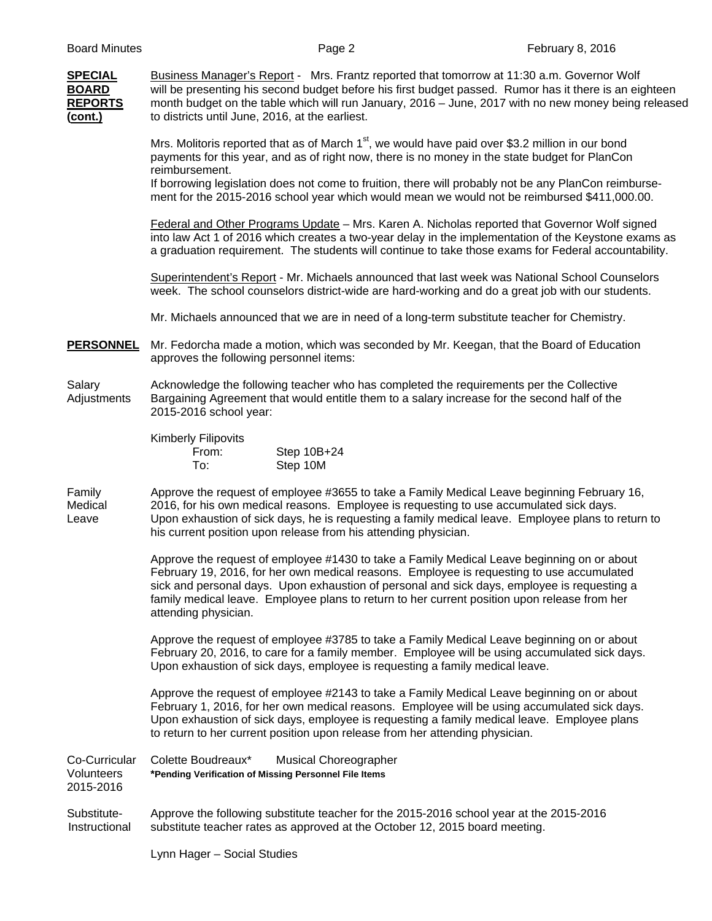| <b>SPECIAL</b><br><b>BOARD</b><br><b>REPORTS</b><br>(cont.) | Business Manager's Report - Mrs. Frantz reported that tomorrow at 11:30 a.m. Governor Wolf<br>will be presenting his second budget before his first budget passed. Rumor has it there is an eighteen<br>month budget on the table which will run January, 2016 - June, 2017 with no new money being released<br>to districts until June, 2016, at the earliest.                                                                           |  |  |  |  |  |  |
|-------------------------------------------------------------|-------------------------------------------------------------------------------------------------------------------------------------------------------------------------------------------------------------------------------------------------------------------------------------------------------------------------------------------------------------------------------------------------------------------------------------------|--|--|--|--|--|--|
|                                                             | Mrs. Molitoris reported that as of March 1 <sup>st</sup> , we would have paid over \$3.2 million in our bond<br>payments for this year, and as of right now, there is no money in the state budget for PlanCon<br>reimbursement.<br>If borrowing legislation does not come to fruition, there will probably not be any PlanCon reimburse-<br>ment for the 2015-2016 school year which would mean we would not be reimbursed \$411,000.00. |  |  |  |  |  |  |
|                                                             | Federal and Other Programs Update - Mrs. Karen A. Nicholas reported that Governor Wolf signed<br>into law Act 1 of 2016 which creates a two-year delay in the implementation of the Keystone exams as<br>a graduation requirement. The students will continue to take those exams for Federal accountability.                                                                                                                             |  |  |  |  |  |  |
|                                                             | Superintendent's Report - Mr. Michaels announced that last week was National School Counselors<br>week. The school counselors district-wide are hard-working and do a great job with our students.                                                                                                                                                                                                                                        |  |  |  |  |  |  |
|                                                             | Mr. Michaels announced that we are in need of a long-term substitute teacher for Chemistry.                                                                                                                                                                                                                                                                                                                                               |  |  |  |  |  |  |
| <b>PERSONNEL</b>                                            | Mr. Fedorcha made a motion, which was seconded by Mr. Keegan, that the Board of Education<br>approves the following personnel items:                                                                                                                                                                                                                                                                                                      |  |  |  |  |  |  |
| Salary<br>Adjustments                                       | Acknowledge the following teacher who has completed the requirements per the Collective<br>Bargaining Agreement that would entitle them to a salary increase for the second half of the<br>2015-2016 school year:                                                                                                                                                                                                                         |  |  |  |  |  |  |
|                                                             | Kimberly Filipovits<br>Step 10B+24<br>From:<br>Step 10M<br>To:                                                                                                                                                                                                                                                                                                                                                                            |  |  |  |  |  |  |
| Family<br>Medical<br>Leave                                  | Approve the request of employee #3655 to take a Family Medical Leave beginning February 16,<br>2016, for his own medical reasons. Employee is requesting to use accumulated sick days.<br>Upon exhaustion of sick days, he is requesting a family medical leave. Employee plans to return to<br>his current position upon release from his attending physician.                                                                           |  |  |  |  |  |  |
|                                                             | Approve the request of employee #1430 to take a Family Medical Leave beginning on or about<br>February 19, 2016, for her own medical reasons. Employee is requesting to use accumulated<br>sick and personal days. Upon exhaustion of personal and sick days, employee is requesting a<br>family medical leave. Employee plans to return to her current position upon release from her<br>attending physician.                            |  |  |  |  |  |  |
|                                                             | Approve the request of employee #3785 to take a Family Medical Leave beginning on or about<br>February 20, 2016, to care for a family member. Employee will be using accumulated sick days.<br>Upon exhaustion of sick days, employee is requesting a family medical leave.                                                                                                                                                               |  |  |  |  |  |  |
|                                                             | Approve the request of employee #2143 to take a Family Medical Leave beginning on or about<br>February 1, 2016, for her own medical reasons. Employee will be using accumulated sick days.<br>Upon exhaustion of sick days, employee is requesting a family medical leave. Employee plans<br>to return to her current position upon release from her attending physician.                                                                 |  |  |  |  |  |  |
| Co-Curricular<br>Volunteers<br>2015-2016                    | Colette Boudreaux*<br><b>Musical Choreographer</b><br>*Pending Verification of Missing Personnel File Items                                                                                                                                                                                                                                                                                                                               |  |  |  |  |  |  |
| Substitute-<br>Instructional                                | Approve the following substitute teacher for the 2015-2016 school year at the 2015-2016<br>substitute teacher rates as approved at the October 12, 2015 board meeting.                                                                                                                                                                                                                                                                    |  |  |  |  |  |  |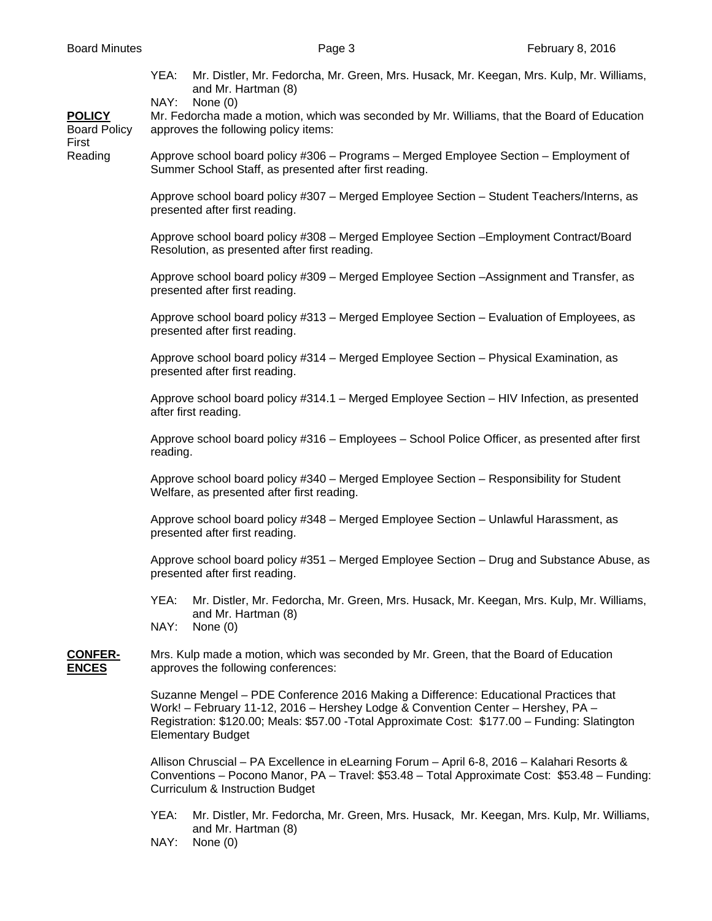YEA: Mr. Distler, Mr. Fedorcha, Mr. Green, Mrs. Husack, Mr. Keegan, Mrs. Kulp, Mr. Williams, and Mr. Hartman (8)

NAY: None (0)

**POLICY** Mr. Fedorcha made a motion, which was seconded by Mr. Williams, that the Board of Education Board Policy approves the following policy items:

First

Reading Approve school board policy #306 – Programs – Merged Employee Section – Employment of Summer School Staff, as presented after first reading.

> Approve school board policy #307 – Merged Employee Section – Student Teachers/Interns, as presented after first reading.

Approve school board policy #308 – Merged Employee Section –Employment Contract/Board Resolution, as presented after first reading.

Approve school board policy #309 – Merged Employee Section –Assignment and Transfer, as presented after first reading.

Approve school board policy #313 – Merged Employee Section – Evaluation of Employees, as presented after first reading.

Approve school board policy #314 – Merged Employee Section – Physical Examination, as presented after first reading.

Approve school board policy #314.1 – Merged Employee Section – HIV Infection, as presented after first reading.

Approve school board policy #316 – Employees – School Police Officer, as presented after first reading.

Approve school board policy #340 – Merged Employee Section – Responsibility for Student Welfare, as presented after first reading.

Approve school board policy #348 – Merged Employee Section – Unlawful Harassment, as presented after first reading.

Approve school board policy #351 – Merged Employee Section – Drug and Substance Abuse, as presented after first reading.

- YEA: Mr. Distler, Mr. Fedorcha, Mr. Green, Mrs. Husack, Mr. Keegan, Mrs. Kulp, Mr. Williams, and Mr. Hartman (8)
- NAY: None (0)

## **CONFER-** Mrs. Kulp made a motion, which was seconded by Mr. Green, that the Board of Education **ENCES** approves the following conferences:

Suzanne Mengel – PDE Conference 2016 Making a Difference: Educational Practices that Work! – February 11-12, 2016 – Hershey Lodge & Convention Center – Hershey, PA – Registration: \$120.00; Meals: \$57.00 -Total Approximate Cost: \$177.00 – Funding: Slatington Elementary Budget

Allison Chruscial – PA Excellence in eLearning Forum – April 6-8, 2016 – Kalahari Resorts & Conventions – Pocono Manor, PA – Travel: \$53.48 – Total Approximate Cost: \$53.48 – Funding: Curriculum & Instruction Budget

- YEA: Mr. Distler, Mr. Fedorcha, Mr. Green, Mrs. Husack, Mr. Keegan, Mrs. Kulp, Mr. Williams, and Mr. Hartman (8)
- NAY: None (0)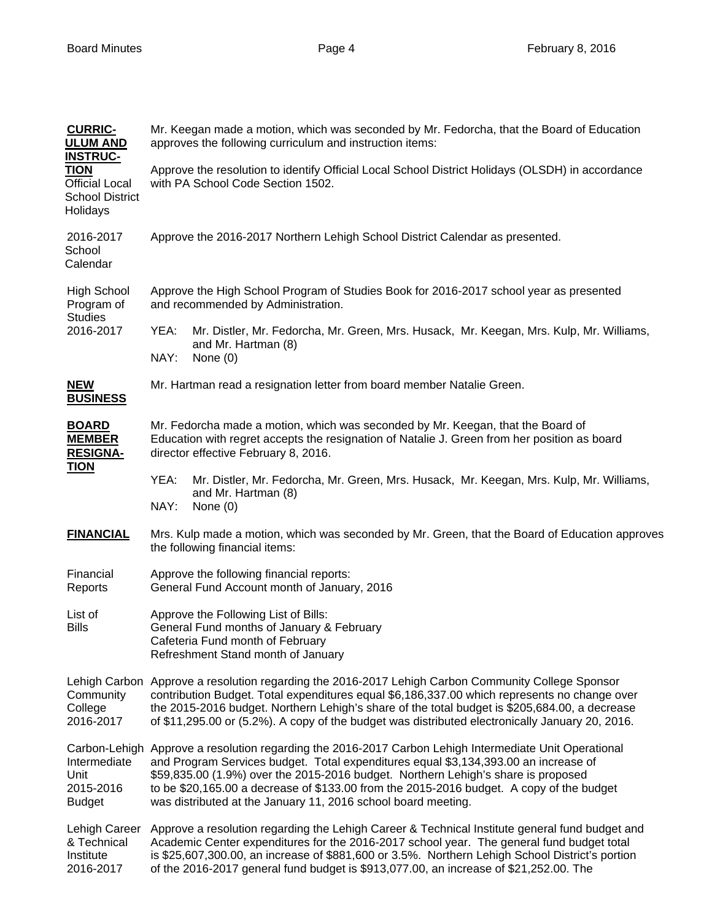| <b>CURRIC-</b><br><b>ULUM AND</b><br><b>INSTRUC-</b>                       | Mr. Keegan made a motion, which was seconded by Mr. Fedorcha, that the Board of Education<br>approves the following curriculum and instruction items:                                                                                                                                                                                                                                                                             |  |  |  |  |  |
|----------------------------------------------------------------------------|-----------------------------------------------------------------------------------------------------------------------------------------------------------------------------------------------------------------------------------------------------------------------------------------------------------------------------------------------------------------------------------------------------------------------------------|--|--|--|--|--|
| <b>TION</b><br><b>Official Local</b><br><b>School District</b><br>Holidays | Approve the resolution to identify Official Local School District Holidays (OLSDH) in accordance<br>with PA School Code Section 1502.                                                                                                                                                                                                                                                                                             |  |  |  |  |  |
| 2016-2017<br>School<br>Calendar                                            | Approve the 2016-2017 Northern Lehigh School District Calendar as presented.                                                                                                                                                                                                                                                                                                                                                      |  |  |  |  |  |
| <b>High School</b><br>Program of<br><b>Studies</b><br>2016-2017            | Approve the High School Program of Studies Book for 2016-2017 school year as presented<br>and recommended by Administration.                                                                                                                                                                                                                                                                                                      |  |  |  |  |  |
|                                                                            | YEA:<br>Mr. Distler, Mr. Fedorcha, Mr. Green, Mrs. Husack, Mr. Keegan, Mrs. Kulp, Mr. Williams,<br>and Mr. Hartman (8)<br>NAY:<br>None $(0)$                                                                                                                                                                                                                                                                                      |  |  |  |  |  |
| <b>NEW</b><br><b>BUSINESS</b>                                              | Mr. Hartman read a resignation letter from board member Natalie Green.                                                                                                                                                                                                                                                                                                                                                            |  |  |  |  |  |
| <b>BOARD</b><br><b>MEMBER</b><br><b>RESIGNA-</b><br><b>TION</b>            | Mr. Fedorcha made a motion, which was seconded by Mr. Keegan, that the Board of<br>Education with regret accepts the resignation of Natalie J. Green from her position as board<br>director effective February 8, 2016.                                                                                                                                                                                                           |  |  |  |  |  |
|                                                                            | Mr. Distler, Mr. Fedorcha, Mr. Green, Mrs. Husack, Mr. Keegan, Mrs. Kulp, Mr. Williams,<br>YEA:<br>and Mr. Hartman (8)<br>NAY:<br>None $(0)$                                                                                                                                                                                                                                                                                      |  |  |  |  |  |
| <b>FINANCIAL</b>                                                           | Mrs. Kulp made a motion, which was seconded by Mr. Green, that the Board of Education approves<br>the following financial items:                                                                                                                                                                                                                                                                                                  |  |  |  |  |  |
| Financial<br>Reports                                                       | Approve the following financial reports:<br>General Fund Account month of January, 2016                                                                                                                                                                                                                                                                                                                                           |  |  |  |  |  |
| List of<br><b>Bills</b>                                                    | Approve the Following List of Bills:<br>General Fund months of January & February<br>Cafeteria Fund month of February<br>Refreshment Stand month of January                                                                                                                                                                                                                                                                       |  |  |  |  |  |
| Lehigh Carbon<br>Community<br>College<br>2016-2017                         | Approve a resolution regarding the 2016-2017 Lehigh Carbon Community College Sponsor<br>contribution Budget. Total expenditures equal \$6,186,337.00 which represents no change over<br>the 2015-2016 budget. Northern Lehigh's share of the total budget is \$205,684.00, a decrease<br>of \$11,295.00 or (5.2%). A copy of the budget was distributed electronically January 20, 2016.                                          |  |  |  |  |  |
| Carbon-Lehigh<br>Intermediate<br>Unit<br>2015-2016<br><b>Budget</b>        | Approve a resolution regarding the 2016-2017 Carbon Lehigh Intermediate Unit Operational<br>and Program Services budget. Total expenditures equal \$3,134,393.00 an increase of<br>\$59,835.00 (1.9%) over the 2015-2016 budget. Northern Lehigh's share is proposed<br>to be \$20,165.00 a decrease of \$133.00 from the 2015-2016 budget. A copy of the budget<br>was distributed at the January 11, 2016 school board meeting. |  |  |  |  |  |
| Lehigh Career<br>& Technical<br>Institute<br>2016-2017                     | Approve a resolution regarding the Lehigh Career & Technical Institute general fund budget and<br>Academic Center expenditures for the 2016-2017 school year. The general fund budget total<br>is \$25,607,300.00, an increase of \$881,600 or 3.5%. Northern Lehigh School District's portion<br>of the 2016-2017 general fund budget is \$913,077.00, an increase of \$21,252.00. The                                           |  |  |  |  |  |